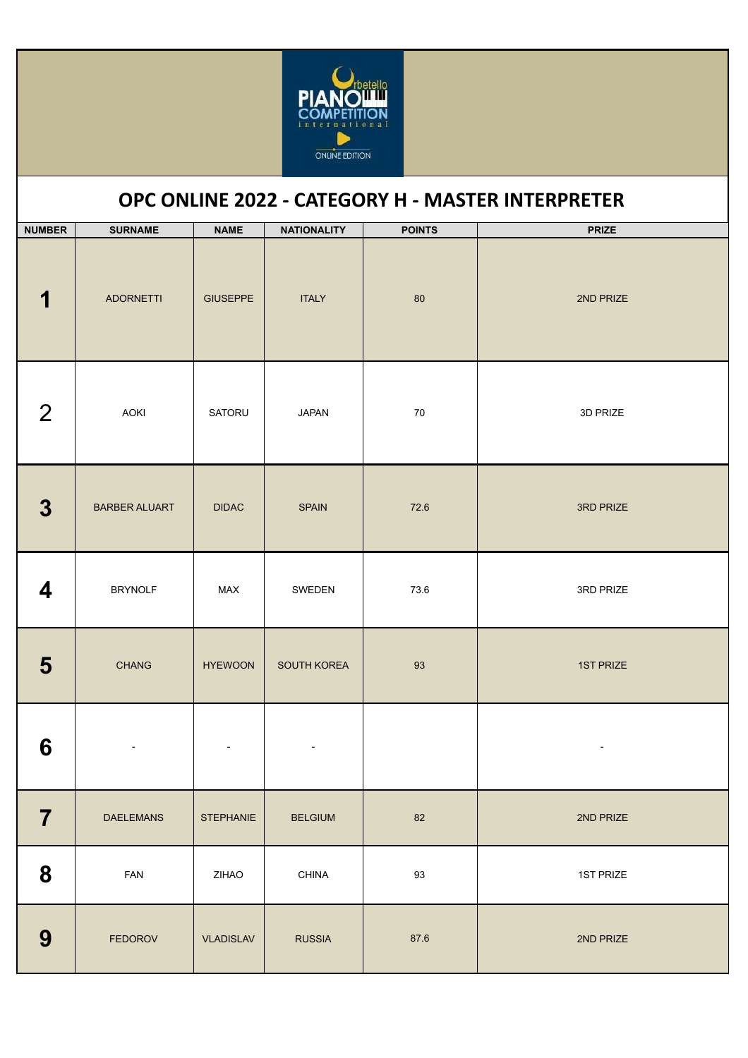

## **OPC ONLINE 2022 - CATEGORY H - MASTER INTERPRETER**

| <b>NUMBER</b>    | <b>SURNAME</b>       | <b>NAME</b>      | <b>NATIONALITY</b> | <b>POINTS</b> | <b>PRIZE</b> |
|------------------|----------------------|------------------|--------------------|---------------|--------------|
| 1                | <b>ADORNETTI</b>     | <b>GIUSEPPE</b>  | <b>ITALY</b>       | 80            | 2ND PRIZE    |
| $\overline{2}$   | AOKI                 | SATORU           | <b>JAPAN</b>       | $70\,$        | 3D PRIZE     |
| $\boldsymbol{3}$ | <b>BARBER ALUART</b> | <b>DIDAC</b>     | <b>SPAIN</b>       | 72.6          | 3RD PRIZE    |
| 4                | <b>BRYNOLF</b>       | MAX              | SWEDEN             | 73.6          | 3RD PRIZE    |
| 5                | CHANG                | <b>HYEWOON</b>   | SOUTH KOREA        | 93            | 1ST PRIZE    |
| 6                |                      |                  |                    |               |              |
| $\overline{7}$   | <b>DAELEMANS</b>     | <b>STEPHANIE</b> | <b>BELGIUM</b>     | 82            | 2ND PRIZE    |
| 8                | FAN                  | ZIHAO            | CHINA              | 93            | 1ST PRIZE    |
| 9                | <b>FEDOROV</b>       | <b>VLADISLAV</b> | <b>RUSSIA</b>      | 87.6          | 2ND PRIZE    |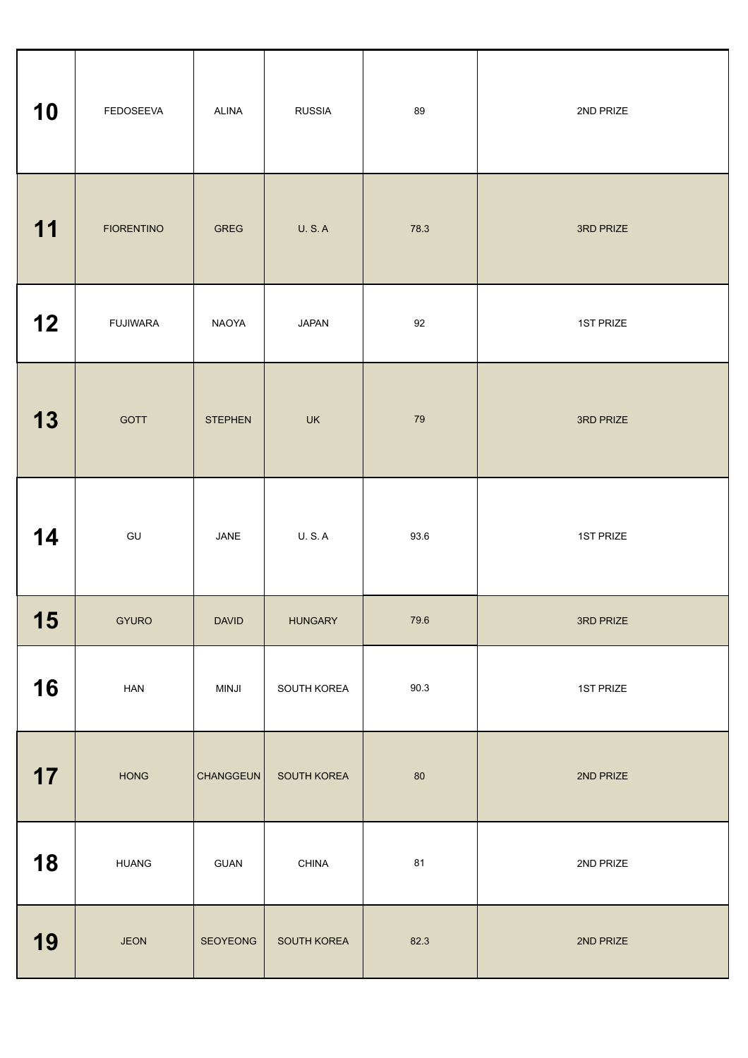| 10 | FEDOSEEVA         | <b>ALINA</b>   | <b>RUSSIA</b>  | 89     | 2ND PRIZE |
|----|-------------------|----------------|----------------|--------|-----------|
| 11 | <b>FIORENTINO</b> | <b>GREG</b>    | <b>U.S.A</b>   | 78.3   | 3RD PRIZE |
| 12 | <b>FUJIWARA</b>   | NAOYA          | <b>JAPAN</b>   | 92     | 1ST PRIZE |
| 13 | GOTT              | <b>STEPHEN</b> | UK             | 79     | 3RD PRIZE |
| 14 | GU                | JANE           | <b>U.S.A</b>   | 93.6   | 1ST PRIZE |
| 15 | <b>GYURO</b>      | <b>DAVID</b>   | <b>HUNGARY</b> | 79.6   | 3RD PRIZE |
| 16 | HAN               | MINJI          | SOUTH KOREA    | 90.3   | 1ST PRIZE |
| 17 | HONG              | CHANGGEUN      | SOUTH KOREA    | $80\,$ | 2ND PRIZE |
| 18 | <b>HUANG</b>      | GUAN           | CHINA          | 81     | 2ND PRIZE |
| 19 | <b>JEON</b>       | SEOYEONG       | SOUTH KOREA    | 82.3   | 2ND PRIZE |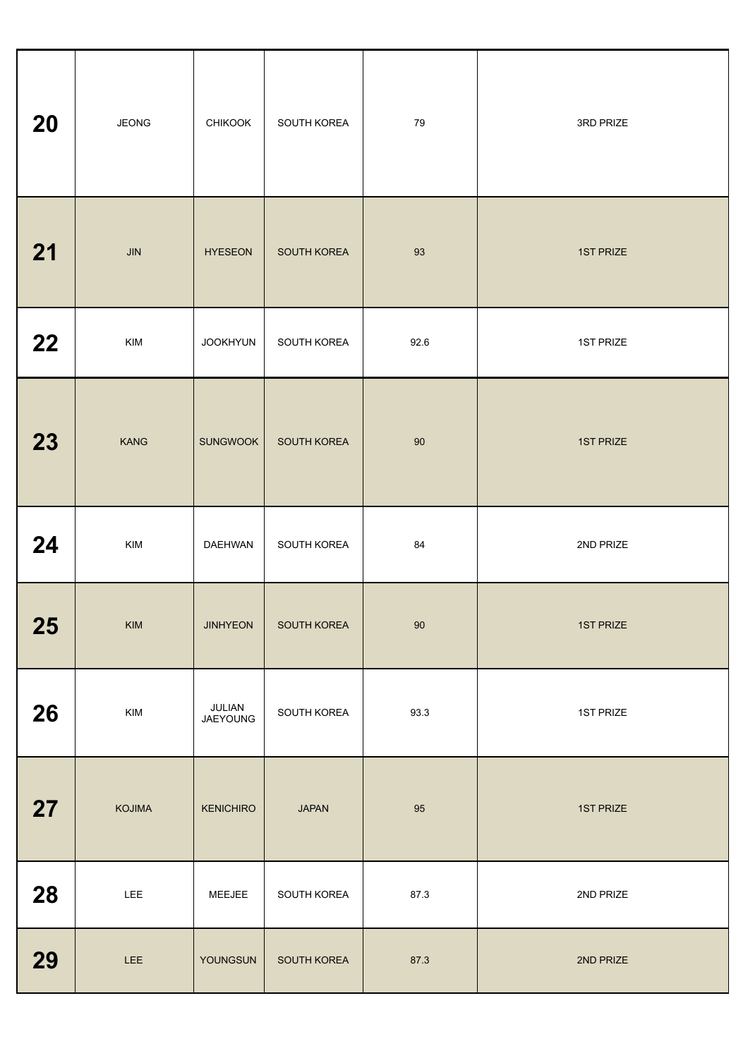| 20 | <b>JEONG</b>   | <b>CHIKOOK</b>     | SOUTH KOREA  | 79     | 3RD PRIZE        |
|----|----------------|--------------------|--------------|--------|------------------|
| 21 | JIN            | <b>HYESEON</b>     | SOUTH KOREA  | 93     | <b>1ST PRIZE</b> |
| 22 | KIM            | <b>JOOKHYUN</b>    | SOUTH KOREA  | 92.6   | 1ST PRIZE        |
| 23 | <b>KANG</b>    | <b>SUNGWOOK</b>    | SOUTH KOREA  | 90     | 1ST PRIZE        |
| 24 | KIM            | <b>DAEHWAN</b>     | SOUTH KOREA  | 84     | 2ND PRIZE        |
| 25 | $\mathsf{KIM}$ | <b>JINHYEON</b>    | SOUTH KOREA  | $90\,$ | 1ST PRIZE        |
| 26 | KIM            | JULIAN<br>JAEYOUNG | SOUTH KOREA  | 93.3   | 1ST PRIZE        |
| 27 | KOJIMA         | <b>KENICHIRO</b>   | <b>JAPAN</b> | 95     | 1ST PRIZE        |
| 28 | LEE            | MEEJEE             | SOUTH KOREA  | 87.3   | 2ND PRIZE        |
| 29 | LEE            | YOUNGSUN           | SOUTH KOREA  | 87.3   | 2ND PRIZE        |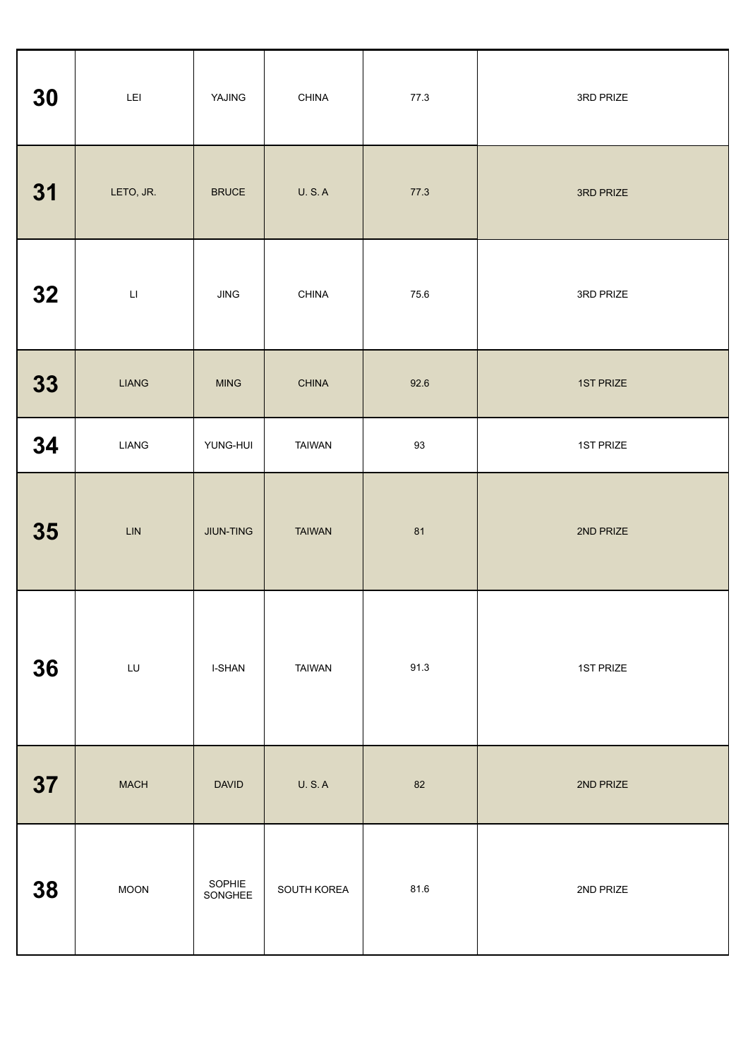| 30 | $\mathsf{LEI}$          | YAJING            | CHINA         | 77.3 | 3RD PRIZE |
|----|-------------------------|-------------------|---------------|------|-----------|
| 31 | LETO, JR.               | <b>BRUCE</b>      | <b>U.S.A</b>  | 77.3 | 3RD PRIZE |
| 32 | $\overline{\mathsf{L}}$ | <b>JING</b>       | <b>CHINA</b>  | 75.6 | 3RD PRIZE |
| 33 | <b>LIANG</b>            | <b>MING</b>       | <b>CHINA</b>  | 92.6 | 1ST PRIZE |
| 34 | <b>LIANG</b>            | YUNG-HUI          | <b>TAIWAN</b> | 93   | 1ST PRIZE |
| 35 | $\mathsf{LIN}$          | JIUN-TING         | <b>TAIWAN</b> | 81   | 2ND PRIZE |
| 36 | LU                      | <b>I-SHAN</b>     | <b>TAIWAN</b> | 91.3 | 1ST PRIZE |
| 37 | <b>MACH</b>             | <b>DAVID</b>      | <b>U.S.A</b>  | 82   | 2ND PRIZE |
| 38 | <b>MOON</b>             | SOPHIE<br>SONGHEE | SOUTH KOREA   | 81.6 | 2ND PRIZE |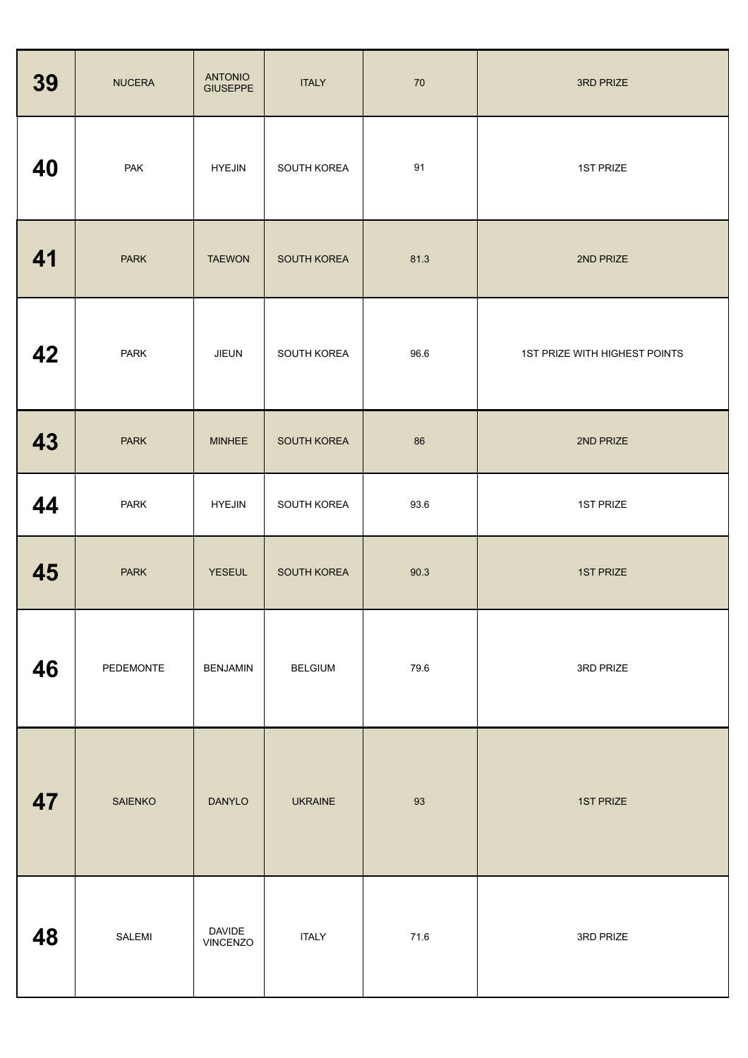| 39 | <b>NUCERA</b>  | <b>ANTONIO</b><br><b>GIUSEPPE</b> | <b>ITALY</b>   | 70   | 3RD PRIZE                     |
|----|----------------|-----------------------------------|----------------|------|-------------------------------|
| 40 | PAK            | <b>HYEJIN</b>                     | SOUTH KOREA    | 91   | 1ST PRIZE                     |
| 41 | <b>PARK</b>    | <b>TAEWON</b>                     | SOUTH KOREA    | 81.3 | 2ND PRIZE                     |
| 42 | <b>PARK</b>    | <b>JIEUN</b>                      | SOUTH KOREA    | 96.6 | 1ST PRIZE WITH HIGHEST POINTS |
| 43 | <b>PARK</b>    | <b>MINHEE</b>                     | SOUTH KOREA    | 86   | 2ND PRIZE                     |
| 44 | <b>PARK</b>    | <b>HYEJIN</b>                     | SOUTH KOREA    | 93.6 | 1ST PRIZE                     |
| 45 | <b>PARK</b>    | <b>YESEUL</b>                     | SOUTH KOREA    | 90.3 | <b>1ST PRIZE</b>              |
| 46 | PEDEMONTE      | <b>BENJAMIN</b>                   | <b>BELGIUM</b> | 79.6 | 3RD PRIZE                     |
| 47 | <b>SAIENKO</b> | <b>DANYLO</b>                     | <b>UKRAINE</b> | 93   | <b>1ST PRIZE</b>              |
| 48 | SALEMI         | <b>DAVIDE</b><br>VINCENZO         | <b>ITALY</b>   | 71.6 | 3RD PRIZE                     |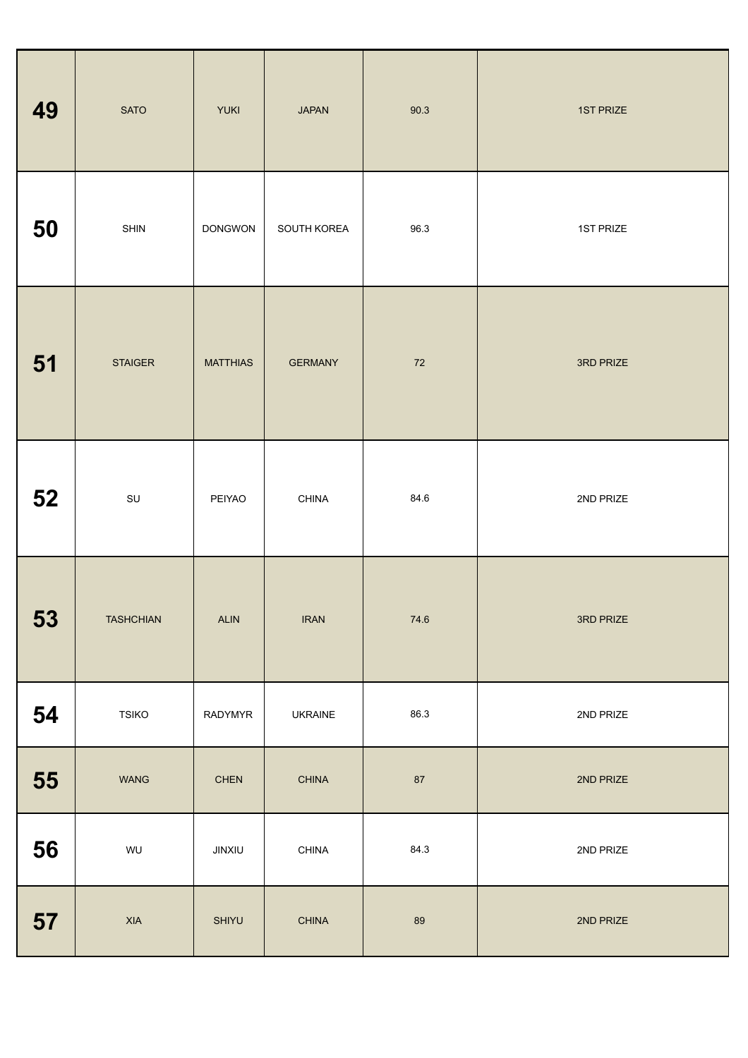| 49 | <b>SATO</b>      | <b>YUKI</b>     | <b>JAPAN</b>   | 90.3   | 1ST PRIZE |
|----|------------------|-----------------|----------------|--------|-----------|
| 50 | SHIN             | <b>DONGWON</b>  | SOUTH KOREA    | 96.3   | 1ST PRIZE |
| 51 | <b>STAIGER</b>   | <b>MATTHIAS</b> | <b>GERMANY</b> | $72\,$ | 3RD PRIZE |
| 52 | $\textsf{SU}$    | PEIYAO          | CHINA          | 84.6   | 2ND PRIZE |
| 53 | <b>TASHCHIAN</b> | ALIN            | <b>IRAN</b>    | 74.6   | 3RD PRIZE |
| 54 | <b>TSIKO</b>     | RADYMYR         | <b>UKRAINE</b> | 86.3   | 2ND PRIZE |
| 55 | <b>WANG</b>      | <b>CHEN</b>     | <b>CHINA</b>   | 87     | 2ND PRIZE |
| 56 | WU               | JINXIU          | CHINA          | 84.3   | 2ND PRIZE |
| 57 | <b>XIA</b>       | SHIYU           | <b>CHINA</b>   | 89     | 2ND PRIZE |